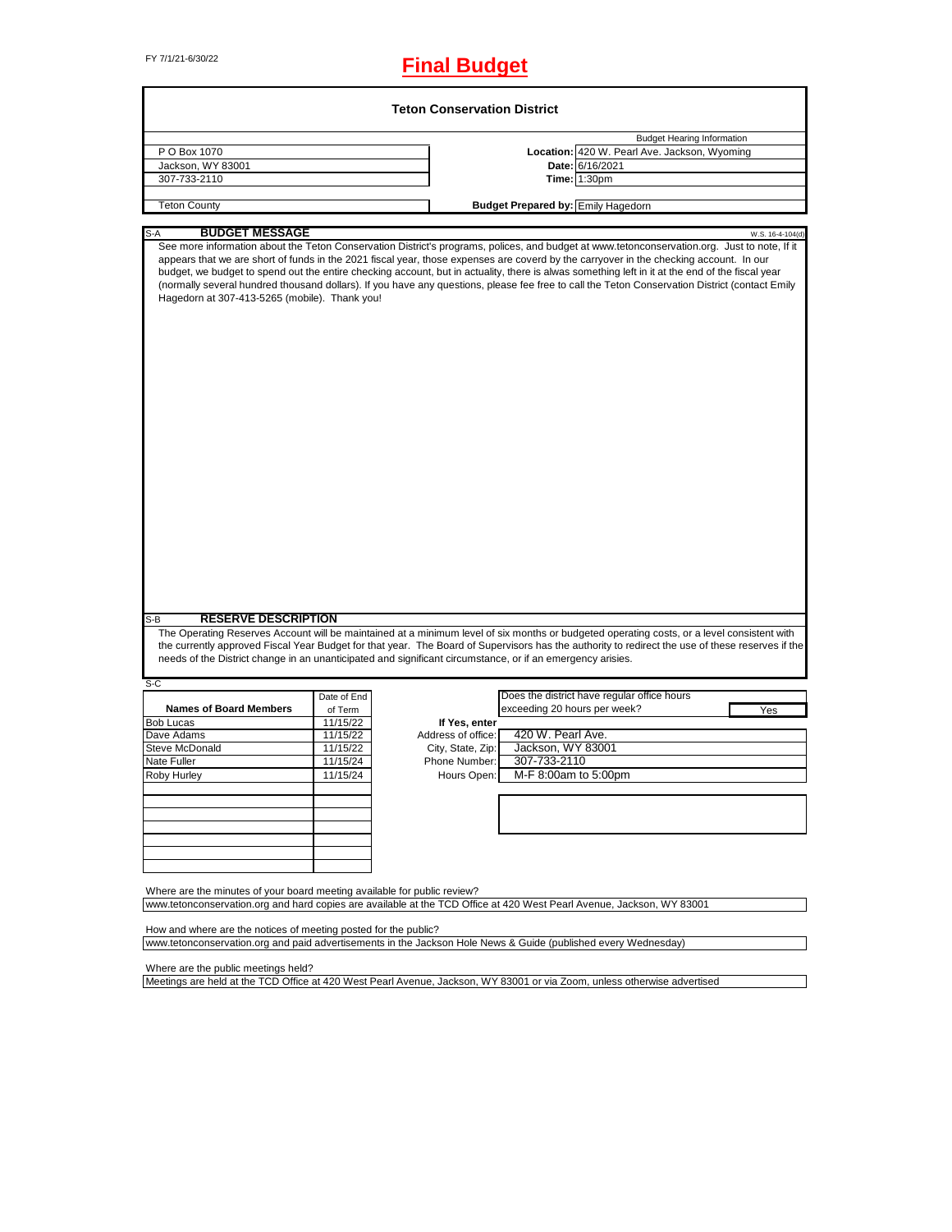# FY 7/1/21-6/30/22 **Final Budget**

|                                                                                                                                                                                                                                                                                                                                                                                                                                                                                                                                                                                                                                              |                     |                    |                              | <b>Budget Hearing Information</b>                               |                  |
|----------------------------------------------------------------------------------------------------------------------------------------------------------------------------------------------------------------------------------------------------------------------------------------------------------------------------------------------------------------------------------------------------------------------------------------------------------------------------------------------------------------------------------------------------------------------------------------------------------------------------------------------|---------------------|--------------------|------------------------------|-----------------------------------------------------------------|------------------|
| P O Box 1070<br>Jackson, WY 83001                                                                                                                                                                                                                                                                                                                                                                                                                                                                                                                                                                                                            |                     |                    |                              | Location: 420 W. Pearl Ave. Jackson, Wyoming<br>Date: 6/16/2021 |                  |
| 307-733-2110                                                                                                                                                                                                                                                                                                                                                                                                                                                                                                                                                                                                                                 |                     |                    |                              | Time: 1:30pm                                                    |                  |
|                                                                                                                                                                                                                                                                                                                                                                                                                                                                                                                                                                                                                                              |                     |                    |                              |                                                                 |                  |
| <b>Teton County</b>                                                                                                                                                                                                                                                                                                                                                                                                                                                                                                                                                                                                                          |                     |                    |                              | <b>Budget Prepared by: Emily Hagedorn</b>                       |                  |
| <b>BUDGET MESSAGE</b><br>S-A                                                                                                                                                                                                                                                                                                                                                                                                                                                                                                                                                                                                                 |                     |                    |                              |                                                                 | W.S. 16-4-104(d) |
| See more information about the Teton Conservation District's programs, polices, and budget at www.tetonconservation.org. Just to note, If it<br>appears that we are short of funds in the 2021 fiscal year, those expenses are coverd by the carryover in the checking account. In our<br>budget, we budget to spend out the entire checking account, but in actuality, there is alwas something left in it at the end of the fiscal year<br>(normally several hundred thousand dollars). If you have any questions, please fee free to call the Teton Conservation District (contact Emily<br>Hagedorn at 307-413-5265 (mobile). Thank you! |                     |                    |                              |                                                                 |                  |
|                                                                                                                                                                                                                                                                                                                                                                                                                                                                                                                                                                                                                                              |                     |                    |                              |                                                                 |                  |
|                                                                                                                                                                                                                                                                                                                                                                                                                                                                                                                                                                                                                                              |                     |                    |                              |                                                                 |                  |
| <b>RESERVE DESCRIPTION</b>                                                                                                                                                                                                                                                                                                                                                                                                                                                                                                                                                                                                                   |                     |                    |                              |                                                                 |                  |
| The Operating Reserves Account will be maintained at a minimum level of six months or budgeted operating costs, or a level consistent with<br>the currently approved Fiscal Year Budget for that year. The Board of Supervisors has the authority to redirect the use of these reserves if the<br>needs of the District change in an unanticipated and significant circumstance, or if an emergency arisies.                                                                                                                                                                                                                                 |                     |                    |                              |                                                                 |                  |
|                                                                                                                                                                                                                                                                                                                                                                                                                                                                                                                                                                                                                                              |                     |                    |                              |                                                                 |                  |
| <b>Names of Board Members</b>                                                                                                                                                                                                                                                                                                                                                                                                                                                                                                                                                                                                                | Date of End         |                    |                              | Does the district have regular office hours                     |                  |
|                                                                                                                                                                                                                                                                                                                                                                                                                                                                                                                                                                                                                                              | of Term<br>11/15/22 | If Yes, enter      | exceeding 20 hours per week? |                                                                 | Yes              |
|                                                                                                                                                                                                                                                                                                                                                                                                                                                                                                                                                                                                                                              | 11/15/22            | Address of office: | 420 W. Pearl Ave.            |                                                                 |                  |
|                                                                                                                                                                                                                                                                                                                                                                                                                                                                                                                                                                                                                                              | 11/15/22            | City, State, Zip:  | Jackson, WY 83001            |                                                                 |                  |
|                                                                                                                                                                                                                                                                                                                                                                                                                                                                                                                                                                                                                                              | 11/15/24            | Phone Number:      | 307-733-2110                 |                                                                 |                  |
|                                                                                                                                                                                                                                                                                                                                                                                                                                                                                                                                                                                                                                              | 11/15/24            | Hours Open:        | M-F 8:00am to 5:00pm         |                                                                 |                  |
|                                                                                                                                                                                                                                                                                                                                                                                                                                                                                                                                                                                                                                              |                     |                    |                              |                                                                 |                  |
|                                                                                                                                                                                                                                                                                                                                                                                                                                                                                                                                                                                                                                              |                     |                    |                              |                                                                 |                  |
|                                                                                                                                                                                                                                                                                                                                                                                                                                                                                                                                                                                                                                              |                     |                    |                              |                                                                 |                  |
| S-B<br>$S-C$<br><b>Bob Lucas</b><br>Dave Adams<br><b>Steve McDonald</b><br>Nate Fuller<br>Roby Hurley                                                                                                                                                                                                                                                                                                                                                                                                                                                                                                                                        |                     |                    |                              |                                                                 |                  |
|                                                                                                                                                                                                                                                                                                                                                                                                                                                                                                                                                                                                                                              |                     |                    |                              |                                                                 |                  |
|                                                                                                                                                                                                                                                                                                                                                                                                                                                                                                                                                                                                                                              |                     |                    |                              |                                                                 |                  |
| Where are the minutes of your board meeting available for public review?                                                                                                                                                                                                                                                                                                                                                                                                                                                                                                                                                                     |                     |                    |                              |                                                                 |                  |
|                                                                                                                                                                                                                                                                                                                                                                                                                                                                                                                                                                                                                                              |                     |                    |                              |                                                                 |                  |
| www.tetonconservation.org and hard copies are available at the TCD Office at 420 West Pearl Avenue, Jackson, WY 83001<br>How and where are the notices of meeting posted for the public?                                                                                                                                                                                                                                                                                                                                                                                                                                                     |                     |                    |                              |                                                                 |                  |

Where are the public meetings held?

Meetings are held at the TCD Office at 420 West Pearl Avenue, Jackson, WY 83001 or via Zoom, unless otherwise advertised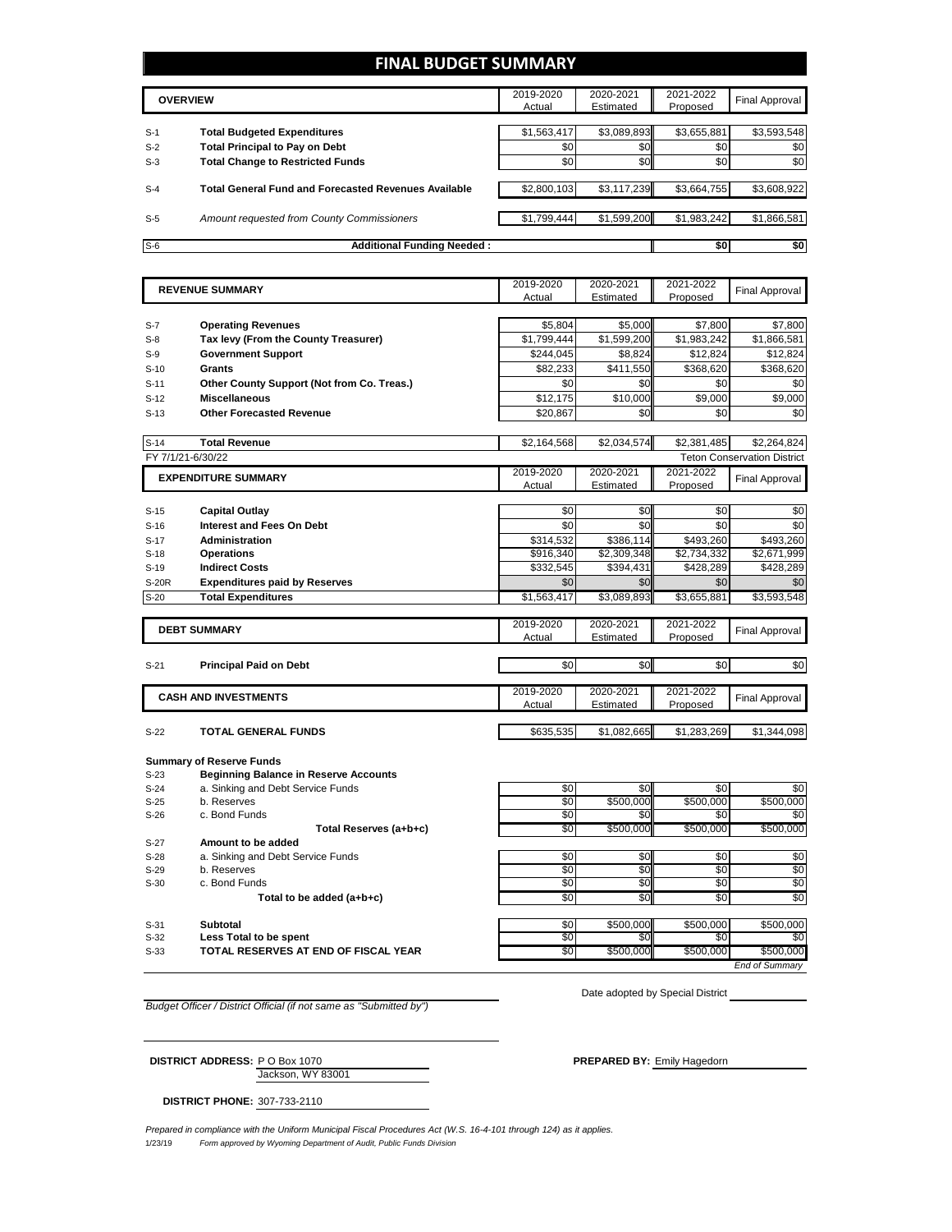### **FINAL BUDGET SUMMARY**

|       | <b>OVERVIEW</b>                                             | 2019-2020<br>Actual | 2020-2021<br>Estimated | 2021-2022<br>Proposed | Final Approval |
|-------|-------------------------------------------------------------|---------------------|------------------------|-----------------------|----------------|
| $S-1$ | <b>Total Budgeted Expenditures</b>                          | \$1,563,417         | \$3,089,893            | \$3,655,881           | \$3,593,548    |
| $S-2$ | <b>Total Principal to Pay on Debt</b>                       | \$0                 | \$0 <sub>1</sub>       | \$0                   | \$0            |
| $S-3$ | <b>Total Change to Restricted Funds</b>                     | \$0                 | \$0                    | \$0                   | \$0            |
| $S-4$ | <b>Total General Fund and Forecasted Revenues Available</b> | \$2,800,103         | \$3,117,239            | \$3,664,755           | \$3,608,922    |
| $S-5$ | Amount requested from County Commissioners                  | \$1.799.444         | \$1,599,200            | \$1,983,242           | \$1,866,581    |
| $S-6$ | <b>Additional Funding Needed:</b>                           |                     |                        | \$0                   | \$0            |

|        | <b>REVENUE SUMMARY</b>                       | 2019-2020   | 2020-2021   | 2021-2022   | <b>Final Approval</b>              |
|--------|----------------------------------------------|-------------|-------------|-------------|------------------------------------|
|        |                                              | Actual      | Estimated   | Proposed    |                                    |
|        |                                              |             |             |             |                                    |
| $S-7$  | <b>Operating Revenues</b>                    | \$5.804     | \$5,000     | \$7,800     | \$7,800                            |
| $S-8$  | Tax levy (From the County Treasurer)         | \$1,799,444 | \$1,599,200 | \$1,983,242 | \$1,866,581                        |
| $S-9$  | <b>Government Support</b>                    | \$244,045   | \$8,824     | \$12,824    | \$12,824                           |
| $S-10$ | Grants                                       | \$82,233    | \$411,550   | \$368,620   | \$368,620                          |
| $S-11$ | Other County Support (Not from Co. Treas.)   | \$0         | \$0         | \$0         | \$0                                |
| $S-12$ | <b>Miscellaneous</b>                         | \$12,175    | \$10,000    | \$9,000     | \$9,000                            |
| $S-13$ | <b>Other Forecasted Revenue</b>              | \$20,867    | \$0         | \$0         | \$0                                |
|        |                                              |             |             |             |                                    |
| $S-14$ | <b>Total Revenue</b>                         | \$2,164,568 | \$2,034,574 | \$2,381,485 | \$2,264,824                        |
|        | FY 7/1/21-6/30/22                            |             |             |             | <b>Teton Conservation District</b> |
|        | <b>EXPENDITURE SUMMARY</b>                   | 2019-2020   | 2020-2021   | 2021-2022   | <b>Final Approval</b>              |
|        |                                              | Actual      | Estimated   | Proposed    |                                    |
|        |                                              |             |             |             |                                    |
| $S-15$ | <b>Capital Outlay</b>                        | \$0         | \$0         | \$0         | \$0                                |
| $S-16$ | <b>Interest and Fees On Debt</b>             | \$0         | \$0         | \$0         | \$0                                |
| $S-17$ | <b>Administration</b>                        | \$314,532   | \$386,114   | \$493,260   | \$493,260                          |
| $S-18$ | <b>Operations</b>                            | \$916,340   | \$2,309,348 | \$2,734,332 | \$2,671,999                        |
| $S-19$ | <b>Indirect Costs</b>                        | \$332,545   | \$394,431   | \$428,289   | \$428,289                          |
| S-20R  | <b>Expenditures paid by Reserves</b>         | \$0         | \$0         | \$0         | \$0                                |
| $S-20$ | <b>Total Expenditures</b>                    | \$1,563,417 | \$3,089,893 | \$3,655,881 | \$3,593,548                        |
|        |                                              |             |             |             |                                    |
|        | <b>DEBT SUMMARY</b>                          | 2019-2020   | 2020-2021   | 2021-2022   | <b>Final Approval</b>              |
|        |                                              | Actual      | Estimated   | Proposed    |                                    |
| $S-21$ |                                              | \$0         | \$0         | \$0         | \$0                                |
|        | <b>Principal Paid on Debt</b>                |             |             |             |                                    |
|        |                                              | 2019-2020   | 2020-2021   | 2021-2022   |                                    |
|        | <b>CASH AND INVESTMENTS</b>                  | Actual      | Estimated   | Proposed    | <b>Final Approval</b>              |
|        |                                              |             |             |             |                                    |
| $S-22$ | <b>TOTAL GENERAL FUNDS</b>                   | \$635,535   | \$1,082,665 | \$1,283,269 | \$1,344,098                        |
|        |                                              |             |             |             |                                    |
|        | <b>Summary of Reserve Funds</b>              |             |             |             |                                    |
| $S-23$ | <b>Beginning Balance in Reserve Accounts</b> |             |             |             |                                    |
| 0.21   | Cipling and Daht Canjos Funda                | $\sim$      | $\sim$      | <b>c</b> ∩  | 3                                  |

| S-23   | <b>Beginning Balance in Reserve Accounts</b> |     |                  |           |           |
|--------|----------------------------------------------|-----|------------------|-----------|-----------|
| $S-24$ | a. Sinking and Debt Service Funds            | \$0 | \$0 <sub>1</sub> | \$0       | \$0       |
| $S-25$ | b. Reserves                                  | \$0 | \$500,000        | \$500,000 | \$500,000 |
| S-26   | c. Bond Funds                                | \$0 | SΟ Γ             | \$0       | \$0       |
|        | Total Reserves (a+b+c)                       | \$0 | \$500,000        | \$500,000 | \$500,000 |
| $S-27$ | Amount to be added                           |     |                  |           |           |
| $S-28$ | a. Sinking and Debt Service Funds            | \$0 | \$0              | \$0       | \$0       |
| $S-29$ | b. Reserves                                  | \$0 | \$0 <sub>1</sub> | \$0       | \$0       |
| S-30   | c. Bond Funds                                | \$0 | <b>SOI</b>       | \$0       | \$0       |
|        | Total to be added (a+b+c)                    | \$0 | \$0 <sub>1</sub> | \$0       | \$0       |
| $S-31$ | Subtotal                                     | \$0 | \$500,000        | \$500,000 | \$500,000 |
| $S-32$ | Less Total to be spent                       | \$0 | \$0 <sub>1</sub> | \$0       | \$0       |
| $S-33$ | TOTAL RESERVES AT END OF FISCAL YEAR         | \$0 | \$500,000        | \$500,000 | \$500,000 |
|        |                                              |     |                  |           |           |

*End of Summary*

*Budget Officer / District Official (if not same as "Submitted by")*

Date adopted by Special District

Jackson, WY 83001 **DISTRICT ADDRESS:** P O Box 1070 **PREPARED BY:** Emily Hagedorn

**DISTRICT PHONE:** 307-733-2110

1/23/19 *Form approved by Wyoming Department of Audit, Public Funds Division Prepared in compliance with the Uniform Municipal Fiscal Procedures Act (W.S. 16-4-101 through 124) as it applies.*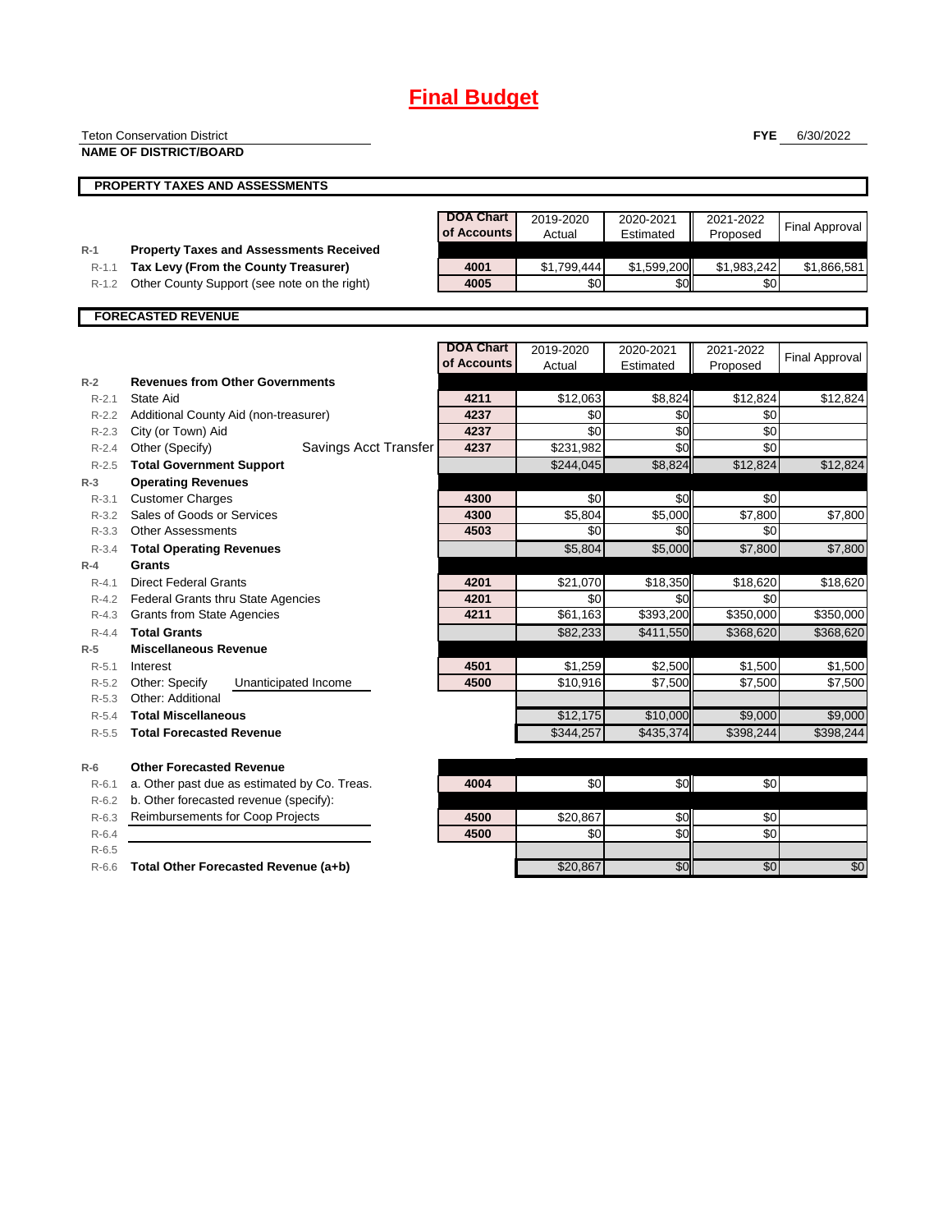## **Final Budget**

| <b>Teton Conservation District</b> |  |
|------------------------------------|--|
|                                    |  |

**NAME OF DISTRICT/BOARD**

**FYE** 6/30/2022

|                        | <b>PROPERTY TAXES AND ASSESSMENTS</b>                        |                                 |                     |                        |                       |                       |
|------------------------|--------------------------------------------------------------|---------------------------------|---------------------|------------------------|-----------------------|-----------------------|
|                        |                                                              | <b>DOA Chart</b><br>of Accounts | 2019-2020<br>Actual | 2020-2021<br>Estimated | 2021-2022<br>Proposed | <b>Final Approval</b> |
| $R-1$                  | <b>Property Taxes and Assessments Received</b>               |                                 |                     |                        |                       |                       |
| $R-1.1$                | Tax Levy (From the County Treasurer)                         | 4001                            | \$1,799,444         | \$1,599,200            | \$1,983,242           | \$1,866,581           |
| $R-1.2$                | Other County Support (see note on the right)                 | 4005                            | \$0                 | \$0                    | \$0                   |                       |
|                        | <b>FORECASTED REVENUE</b>                                    |                                 |                     |                        |                       |                       |
|                        |                                                              | <b>DOA Chart</b>                |                     |                        |                       |                       |
|                        |                                                              | of Accounts                     | 2019-2020           | 2020-2021              | 2021-2022             | <b>Final Approval</b> |
|                        |                                                              |                                 | Actual              | Estimated              | Proposed              |                       |
| $R-2$                  | <b>Revenues from Other Governments</b><br>State Aid          | 4211                            |                     |                        |                       |                       |
| $R - 2.1$              |                                                              |                                 | \$12,063            | \$8,824                | \$12,824              | \$12,824              |
| $R - 2.2$              | Additional County Aid (non-treasurer)                        | 4237<br>4237                    | \$0<br>\$0          | \$0                    | \$0                   |                       |
| $R - 2.3$<br>$R - 2.4$ | City (or Town) Aid<br>Savings Acct Transfer                  | 4237                            | \$231,982           | \$0<br>\$0             | \$0<br>\$0            |                       |
|                        | Other (Specify)                                              |                                 |                     |                        |                       |                       |
| $R - 2.5$<br>$R-3$     | <b>Total Government Support</b><br><b>Operating Revenues</b> |                                 | \$244,045           | \$8,824                | \$12,824              | \$12,824              |
| $R - 3.1$              | <b>Customer Charges</b>                                      | 4300                            | \$0                 | \$0                    | \$0                   |                       |
| $R - 3.2$              | Sales of Goods or Services                                   | 4300                            | \$5,804             | \$5,000                | \$7,800               | \$7,800               |
| $R - 3.3$              | <b>Other Assessments</b>                                     | 4503                            | \$0                 | \$0                    | \$0                   |                       |
| $R - 3.4$              | <b>Total Operating Revenues</b>                              |                                 | \$5,804             | \$5,000                | \$7,800               | \$7,800               |
| $R-4$                  | Grants                                                       |                                 |                     |                        |                       |                       |
| $R - 4.1$              | <b>Direct Federal Grants</b>                                 | 4201                            | \$21,070            | \$18,350               | \$18,620              | \$18,620              |
| $R - 4.2$              | <b>Federal Grants thru State Agencies</b>                    | 4201                            | \$0                 | \$0                    | \$0                   |                       |
| $R - 4.3$              | <b>Grants from State Agencies</b>                            | 4211                            | \$61,163            | \$393,200              | \$350,000             | \$350,000             |
| $R - 4.4$              | <b>Total Grants</b>                                          |                                 | \$82,233            | \$411,550              | \$368,620             | \$368,620             |
| $R-5$                  | <b>Miscellaneous Revenue</b>                                 |                                 |                     |                        |                       |                       |
| $R - 5.1$              | Interest                                                     | 4501                            | \$1,259             | \$2,500                | \$1,500               | \$1,500               |

| $\cdots$ $\cdots$ |                                        | TVV I | <b>99.LOV</b> | ⊽∠,∪∪⊔   | $\mathsf{v}$ . . $\mathsf{v}$ | <b>U.UU</b> |
|-------------------|----------------------------------------|-------|---------------|----------|-------------------------------|-------------|
| $R-5.2$           | Other: Specify<br>Unanticipated Income | 4500  | \$10.916      | \$7.500  | \$7,500                       | \$7.500     |
| $R - 5.3$         | Other: Additional                      |       |               |          |                               |             |
| $R - 5.4$         | <b>Total Miscellaneous</b>             |       | \$12.175      | \$10,000 | \$9,000                       | \$9,000     |

| $R-5.5$ | <b>Total Forecasted Revenue</b> | 4.257<br>\$344 | \$435,374 | \$398.244 | \$398.244 |
|---------|---------------------------------|----------------|-----------|-----------|-----------|

#### **R-6 Other Forecasted Revenue**

R-6.5

| -6        | <b>Other Forecasted Revenue</b>                    |      |          |       |     |     |
|-----------|----------------------------------------------------|------|----------|-------|-----|-----|
|           | R-6.1 a. Other past due as estimated by Co. Treas. | 4004 | \$0      | \$0.  | \$0 |     |
|           | R-6.2 b. Other forecasted revenue (specify):       |      |          |       |     |     |
|           | R-6.3 Reimbursements for Coop Projects             | 4500 | \$20,867 | \$0II | \$0 |     |
| $R - 6.4$ |                                                    | 4500 | \$0      | \$0I  | \$0 |     |
| $R - 6.5$ |                                                    |      |          |       |     |     |
|           | R-6.6 Total Other Forecasted Revenue (a+b)         |      | \$20,867 | \$0   | \$0 | \$0 |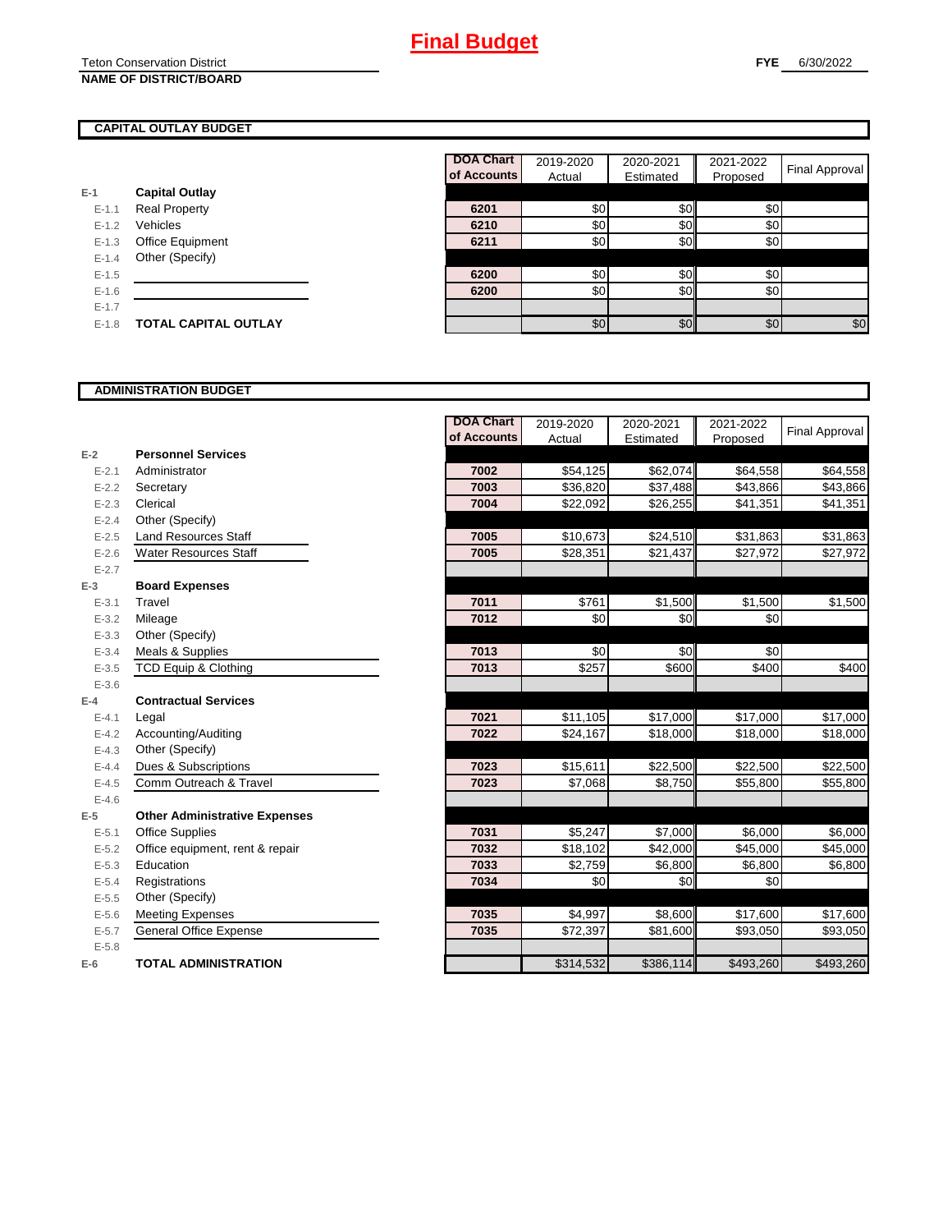Teton Conservation District **NAME OF DISTRICT/BOARD**

**E-1**

Т

### **CAPITAL OUTLAY BUDGET**

|           |                             | <b>DOA Chart</b> | 2019-2020 | 2020-2021 | 2021-2022 |                       |
|-----------|-----------------------------|------------------|-----------|-----------|-----------|-----------------------|
|           |                             | of Accounts      | Actual    | Estimated | Proposed  | <b>Final Approval</b> |
| -1        | <b>Capital Outlay</b>       |                  |           |           |           |                       |
| $E-1.1$   | <b>Real Property</b>        | 6201             | \$0       | \$0       | \$0       |                       |
| $E-1.2$   | Vehicles                    | 6210             | \$0       | \$0       | \$0       |                       |
| $E-1.3$   | Office Equipment            | 6211             | \$0       | \$0       | \$0       |                       |
| $E-1.4$   | Other (Specify)             |                  |           |           |           |                       |
| $E-1.5$   |                             | 6200             | \$0       | \$0       | \$0       |                       |
| $E - 1.6$ |                             | 6200             | \$0       | \$0       | \$0       |                       |
| $E-1.7$   |                             |                  |           |           |           |                       |
| $E-1.8$   | <b>TOTAL CAPITAL OUTLAY</b> |                  | \$0       | \$0       | \$0       | \$0                   |

### **ADMINISTRATION BUDGET**

|           |                                      | <b>DOA Chart</b> | 2019-2020 | 2020-2021 | 2021-2022 | Final Approval |
|-----------|--------------------------------------|------------------|-----------|-----------|-----------|----------------|
|           |                                      | of Accounts      | Actual    | Estimated | Proposed  |                |
| $E-2$     | <b>Personnel Services</b>            |                  |           |           |           |                |
| $E - 2.1$ | Administrator                        | 7002             | \$54,125  | \$62,074  | \$64,558  | \$64,558       |
| $E - 2.2$ | Secretary                            | 7003             | \$36,820  | \$37,488  | \$43,866  | \$43,866       |
| $E - 2.3$ | Clerical                             | 7004             | \$22,092  | \$26,255  | \$41,351  | \$41,351       |
| $E - 2.4$ | Other (Specify)                      |                  |           |           |           |                |
| $E - 2.5$ | <b>Land Resources Staff</b>          | 7005             | \$10,673  | \$24,510  | \$31,863  | \$31,863       |
| $E - 2.6$ | <b>Water Resources Staff</b>         | 7005             | \$28,351  | \$21,437  | \$27,972  | \$27,972       |
| $E - 2.7$ |                                      |                  |           |           |           |                |
| $E-3$     | <b>Board Expenses</b>                |                  |           |           |           |                |
| $E - 3.1$ | Travel                               | 7011             | \$761     | \$1,500   | \$1,500   | \$1,500        |
| $E - 3.2$ | Mileage                              | 7012             | \$0       | \$0       | \$0       |                |
| $E - 3.3$ | Other (Specify)                      |                  |           |           |           |                |
| $E - 3.4$ | Meals & Supplies                     | 7013             | \$0       | \$0       | \$0       |                |
| $E - 3.5$ | <b>TCD Equip &amp; Clothing</b>      | 7013             | \$257     | \$600     | \$400     | \$400          |
| $E - 3.6$ |                                      |                  |           |           |           |                |
| $E-4$     | <b>Contractual Services</b>          |                  |           |           |           |                |
| $E - 4.1$ | Legal                                | 7021             | \$11,105  | \$17,000  | \$17,000  | \$17,000       |
| $E - 4.2$ | Accounting/Auditing                  | 7022             | \$24,167  | \$18,000  | \$18,000  | \$18,000       |
| $E - 4.3$ | Other (Specify)                      |                  |           |           |           |                |
| $E - 4.4$ | Dues & Subscriptions                 | 7023             | \$15,611  | \$22,500  | \$22,500  | \$22,500       |
| $E - 4.5$ | Comm Outreach & Travel               | 7023             | \$7,068   | \$8,750   | \$55,800  | \$55,800       |
| $E - 4.6$ |                                      |                  |           |           |           |                |
| $E-5$     | <b>Other Administrative Expenses</b> |                  |           |           |           |                |
| $E - 5.1$ | <b>Office Supplies</b>               | 7031             | \$5,247   | \$7,000   | \$6,000   | \$6,000        |
| $E - 5.2$ | Office equipment, rent & repair      | 7032             | \$18,102  | \$42,000  | \$45,000  | \$45,000       |
| $E - 5.3$ | Education                            | 7033             | \$2,759   | \$6,800   | \$6,800   | \$6,800        |
| $E - 5.4$ | Registrations                        | 7034             | \$0       | \$0       | \$0       |                |
| $E - 5.5$ | Other (Specify)                      |                  |           |           |           |                |
| $E - 5.6$ | <b>Meeting Expenses</b>              | 7035             | \$4,997   | \$8,600   | \$17,600  | \$17,600       |
| $E - 5.7$ | <b>General Office Expense</b>        | 7035             | \$72,397  | \$81,600  | \$93,050  | \$93,050       |
| $E - 5.8$ |                                      |                  |           |           |           |                |
| $E-6$     | <b>TOTAL ADMINISTRATION</b>          |                  | \$314,532 | \$386,114 | \$493,260 | \$493,260      |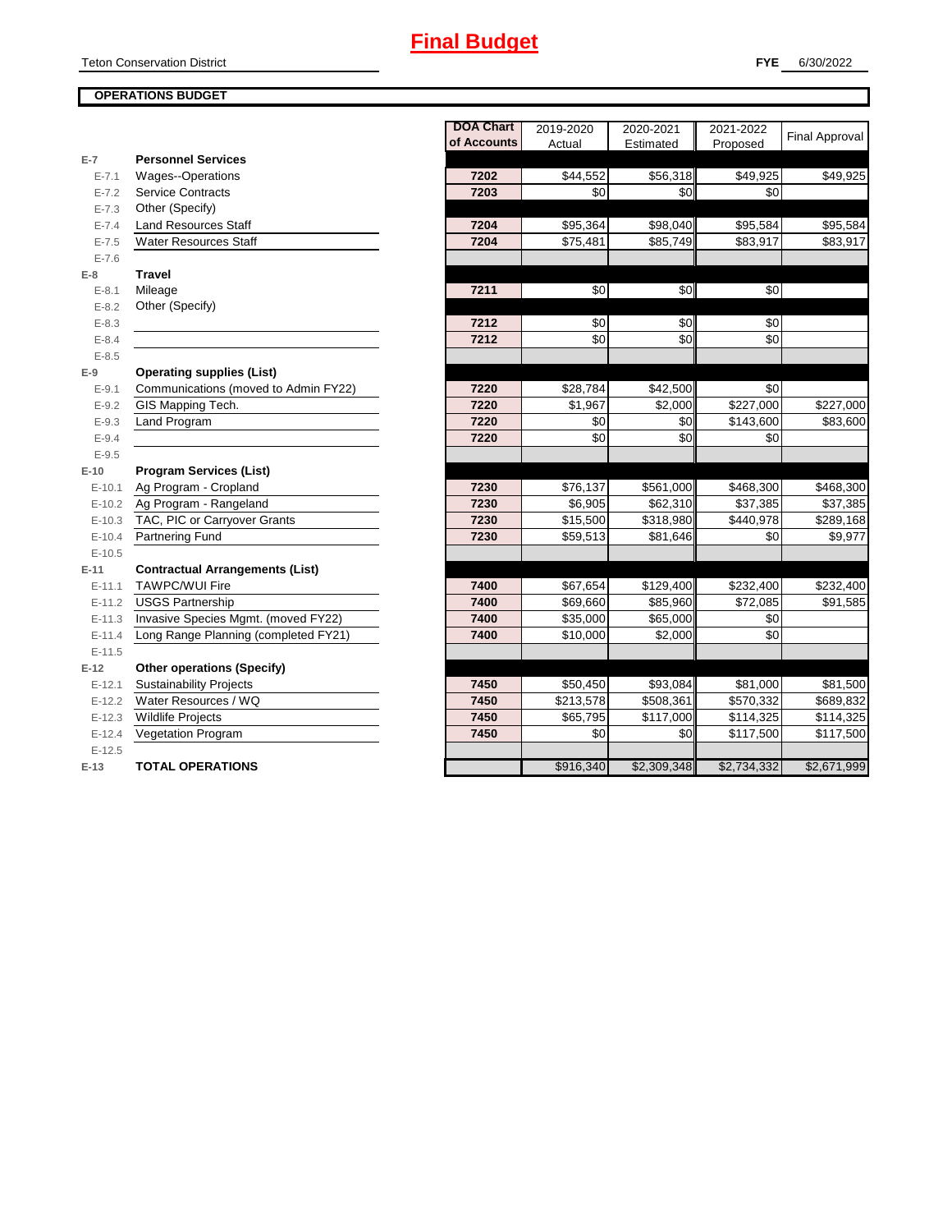Teton Conservation District

### **OPERATIONS BUDGET**

|           |                                        | <b>DOA Chart</b> | 2019-2020            | 2020-2021   | 2021-2022       |                       |
|-----------|----------------------------------------|------------------|----------------------|-------------|-----------------|-----------------------|
|           |                                        | of Accounts      | Actual               | Estimated   | Proposed        | <b>Final Approval</b> |
| $E-7$     | <b>Personnel Services</b>              |                  |                      |             |                 |                       |
| $E - 7.1$ | Wages--Operations                      | 7202             | \$44,552             | \$56,318    | \$49,925        | \$49,925              |
| $E - 7.2$ | <b>Service Contracts</b>               | 7203             | \$0                  | \$0         | \$0             |                       |
| $E - 7.3$ | Other (Specify)                        |                  |                      |             |                 |                       |
| $E - 7.4$ | <b>Land Resources Staff</b>            | 7204             | \$95,364             | \$98,040    | \$95,584        | \$95,584              |
| $E - 7.5$ | <b>Water Resources Staff</b>           | 7204             | \$75,481             | \$85,749    | \$83,917        | \$83,917              |
| $E - 7.6$ |                                        |                  |                      |             |                 |                       |
| $E-8$     | <b>Travel</b>                          |                  |                      |             |                 |                       |
| $E - 8.1$ | Mileage                                | 7211             | \$0                  | \$0         | \$0             |                       |
| $E - 8.2$ | Other (Specify)                        |                  |                      |             |                 |                       |
| $E - 8.3$ |                                        | 7212             | \$0                  | \$0         | \$0             |                       |
| $E - 8.4$ |                                        | 7212             | \$0                  | \$0         | $\overline{30}$ |                       |
| $E - 8.5$ |                                        |                  |                      |             |                 |                       |
| $E-9$     | <b>Operating supplies (List)</b>       |                  |                      |             |                 |                       |
| $E - 9.1$ | Communications (moved to Admin FY22)   | 7220             | $\overline{$}28,784$ | \$42,500    | \$0             |                       |
| $E - 9.2$ | GIS Mapping Tech.                      | 7220             | \$1,967              | \$2,000     | \$227,000       | \$227,000             |
| $E - 9.3$ | Land Program                           | 7220             | \$0                  | \$0         | \$143,600       | \$83,600              |
| $E - 9.4$ |                                        | 7220             | \$0                  | \$0         | \$0             |                       |
| $E - 9.5$ |                                        |                  |                      |             |                 |                       |
| $E-10$    | <b>Program Services (List)</b>         |                  |                      |             |                 |                       |
| $E-10.1$  | Ag Program - Cropland                  | 7230             | \$76,137             | \$561,000   | \$468,300       | \$468,300             |
| $E-10.2$  | Ag Program - Rangeland                 | 7230             | \$6,905              | \$62,310    | \$37,385        | \$37,385              |
| $E-10.3$  | TAC, PIC or Carryover Grants           | 7230             | \$15,500             | \$318,980   | \$440,978       | \$289,168             |
| $E-10.4$  | <b>Partnering Fund</b>                 | 7230             | \$59,513             | \$81,646    | \$0             | \$9,977               |
| $E-10.5$  |                                        |                  |                      |             |                 |                       |
| $E-11$    | <b>Contractual Arrangements (List)</b> |                  |                      |             |                 |                       |
| $E-11.1$  | <b>TAWPC/WUI Fire</b>                  | 7400             | \$67,654             | \$129,400   | \$232,400       | \$232,400             |
| $E-11.2$  | <b>USGS Partnership</b>                | 7400             | \$69,660             | \$85,960    | \$72,085        | \$91,585              |
| $E-11.3$  | Invasive Species Mgmt. (moved FY22)    | 7400             | \$35,000             | \$65,000    | \$0             |                       |
| $E-11.4$  | Long Range Planning (completed FY21)   | 7400             | \$10,000             | \$2,000     | \$0             |                       |
| $E-11.5$  |                                        |                  |                      |             |                 |                       |
| $E-12$    | <b>Other operations (Specify)</b>      |                  |                      |             |                 |                       |
| $E-12.1$  | <b>Sustainability Projects</b>         | 7450             | \$50,450             | \$93,084    | \$81,000        | \$81,500              |
| $E-12.2$  | Water Resources / WQ                   | 7450             | \$213,578            | \$508,361   | \$570,332       | \$689,832             |
| $E-12.3$  | <b>Wildlife Projects</b>               | 7450             | \$65,795             | \$117,000   | \$114,325       | \$114,325             |
| $E-12.4$  | <b>Vegetation Program</b>              | 7450             | \$0                  | \$0         | \$117,500       | \$117,500             |
| $E-12.5$  |                                        |                  |                      |             |                 |                       |
| $E-13$    | <b>TOTAL OPERATIONS</b>                |                  | \$916,340            | \$2,309,348 | \$2,734,332     | \$2,671,999           |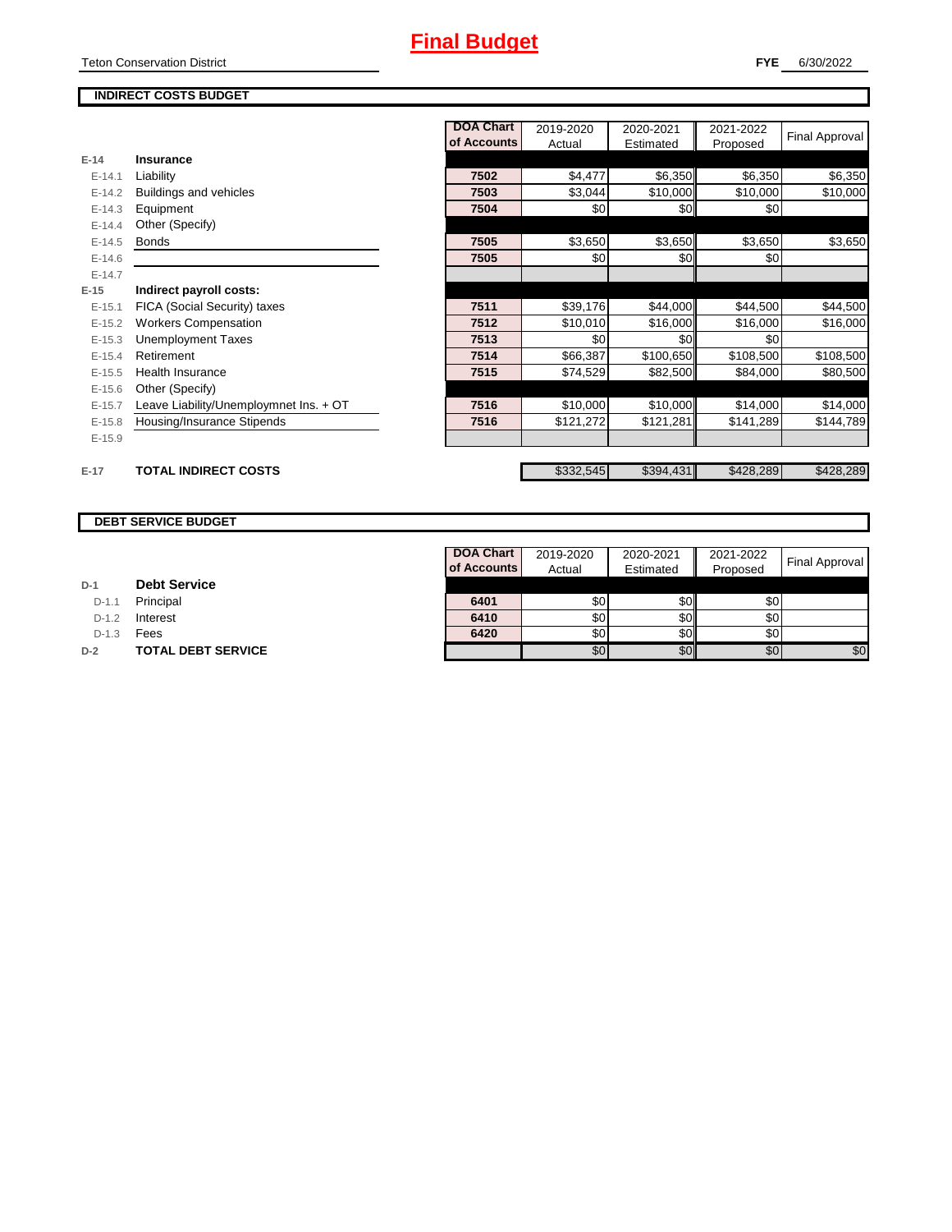# **Final Budget**

#### **FYE** 6/30/2022

### **INDIRECT COSTS BUDGET**

|          |                                        | <b>DOA Chart</b> | 2019-2020 | 2020-2021        | 2021-2022 | <b>Final Approval</b> |
|----------|----------------------------------------|------------------|-----------|------------------|-----------|-----------------------|
|          |                                        | of Accounts      | Actual    | Estimated        | Proposed  |                       |
| $E-14$   | Insurance                              |                  |           |                  |           |                       |
| $E-14.1$ | Liability                              | 7502             | \$4,477   | \$6,350          | \$6,350   | \$6,350               |
| $E-14.2$ | Buildings and vehicles                 | 7503             | \$3,044   | \$10,000         | \$10,000  | \$10,000              |
| $E-14.3$ | Equipment                              | 7504             | \$0       | \$0              | \$0       |                       |
| $E-14.4$ | Other (Specify)                        |                  |           |                  |           |                       |
| $E-14.5$ | <b>Bonds</b>                           | 7505             | \$3,650   | \$3,650          | \$3,650   | \$3,650               |
| $E-14.6$ |                                        | 7505             | \$0       | \$0              | \$0       |                       |
| $E-14.7$ |                                        |                  |           |                  |           |                       |
| $E-15$   | Indirect payroll costs:                |                  |           |                  |           |                       |
| $E-15.1$ | FICA (Social Security) taxes           | 7511             | \$39,176  | \$44,000         | \$44,500  | \$44,500              |
| $E-15.2$ | <b>Workers Compensation</b>            | 7512             | \$10,010  | \$16,000         | \$16,000  | \$16,000              |
| $E-15.3$ | <b>Unemployment Taxes</b>              | 7513             | \$0       | \$0 <sub>1</sub> | \$0       |                       |
| $E-15.4$ | Retirement                             | 7514             | \$66,387  | \$100,650        | \$108,500 | \$108,500             |
| $E-15.5$ | <b>Health Insurance</b>                | 7515             | \$74,529  | \$82,500         | \$84,000  | \$80,500              |
| $E-15.6$ | Other (Specify)                        |                  |           |                  |           |                       |
| $E-15.7$ | Leave Liability/Unemploymnet Ins. + OT | 7516             | \$10,000  | \$10,000         | \$14,000  | \$14,000              |
| $E-15.8$ | Housing/Insurance Stipends             | 7516             | \$121,272 | \$121,281        | \$141,289 | \$144,789             |
| $E-15.9$ |                                        |                  |           |                  |           |                       |
|          |                                        |                  |           |                  |           |                       |
| $E-17$   | <b>TOTAL INDIRECT COSTS</b>            |                  | \$332,545 | \$394,431        | \$428,289 | \$428,289             |

#### **DEBT SERVICE BUDGET**

| D-1 |  | <b>Debt Service</b> |
|-----|--|---------------------|
|-----|--|---------------------|

D-1.1 **Principal** 

D-1.2 **Interest** 

D-1.3 **Fees** 

**D-2 TOTAL DEBT SERVICE** 

| DOA Chart   | 2019-2020 | 2020-2021 | 2021-2022 | <b>Final Approval</b> |
|-------------|-----------|-----------|-----------|-----------------------|
| of Accounts | Actual    | Estimated | Proposed  |                       |
|             |           |           |           |                       |
| 6401        | \$0       | SO        | \$0       |                       |
| 6410        | \$0       |           | \$0       |                       |
| 6420        | \$0       |           | \$0       |                       |
|             | 50.       |           | \$Ο       |                       |